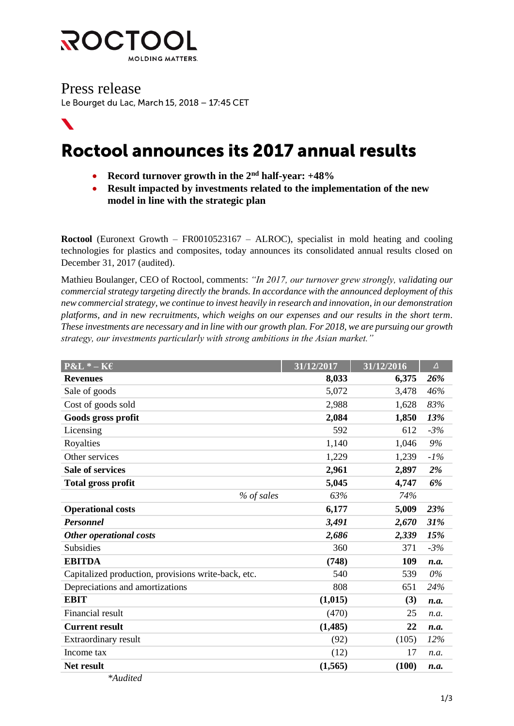

 $\boldsymbol{N}$ 

Press release<br>Le Bourget du Lac, March 15, 2018 – 17:45 CET

# Roctool announces its 2017 annual results

- **Record turnover growth in the 2nd half-year: +48%**
- **Result impacted by investments related to the implementation of the new model in line with the strategic plan**

**Roctool** (Euronext Growth – FR0010523167 – ALROC), specialist in mold heating and cooling technologies for plastics and composites, today announces its consolidated annual results closed on December 31, 2017 (audited).

Mathieu Boulanger, CEO of Roctool, comments: *"In 2017, our turnover grew strongly, validating our commercial strategy targeting directly the brands. In accordance with the announced deployment of this new commercial strategy, we continue to invest heavily in research and innovation, in our demonstration platforms, and in new recruitments, which weighs on our expenses and our results in the short term. These investments are necessary and in line with our growth plan. For 2018, we are pursuing our growth strategy, our investments particularly with strong ambitions in the Asian market."* 

| $P&L^* - K&E$                                       | 31/12/2017 | 31/12/2016 | $\Delta$ |
|-----------------------------------------------------|------------|------------|----------|
| <b>Revenues</b>                                     | 8,033      | 6,375      | 26%      |
| Sale of goods                                       | 5,072      | 3,478      | 46%      |
| Cost of goods sold                                  | 2,988      | 1,628      | 83%      |
| Goods gross profit                                  | 2,084      | 1,850      | 13%      |
| Licensing                                           | 592        | 612        | $-3%$    |
| Royalties                                           | 1,140      | 1,046      | $9\%$    |
| Other services                                      | 1,229      | 1,239      | $-1%$    |
| <b>Sale of services</b>                             | 2,961      | 2,897      | 2%       |
| <b>Total gross profit</b>                           | 5,045      | 4,747      | 6%       |
| % of sales                                          | 63%        | 74%        |          |
| <b>Operational costs</b>                            | 6,177      | 5,009      | 23%      |
| Personnel                                           | 3,491      | 2,670      | 31%      |
| Other operational costs                             | 2,686      | 2,339      | 15%      |
| Subsidies                                           | 360        | 371        | $-3%$    |
| <b>EBITDA</b>                                       | (748)      | 109        | n.a.     |
| Capitalized production, provisions write-back, etc. | 540        | 539        | $0\%$    |
| Depreciations and amortizations                     | 808        | 651        | 24%      |
| <b>EBIT</b>                                         | (1,015)    | (3)        | n.a.     |
| Financial result                                    | (470)      | 25         | n.a.     |
| <b>Current result</b>                               | (1,485)    | 22         | n.a.     |
| Extraordinary result                                | (92)       | (105)      | 12%      |
| Income tax                                          | (12)       | 17         | n.a.     |
| Net result                                          | (1, 565)   | (100)      | n.a.     |
| *Audited                                            |            |            |          |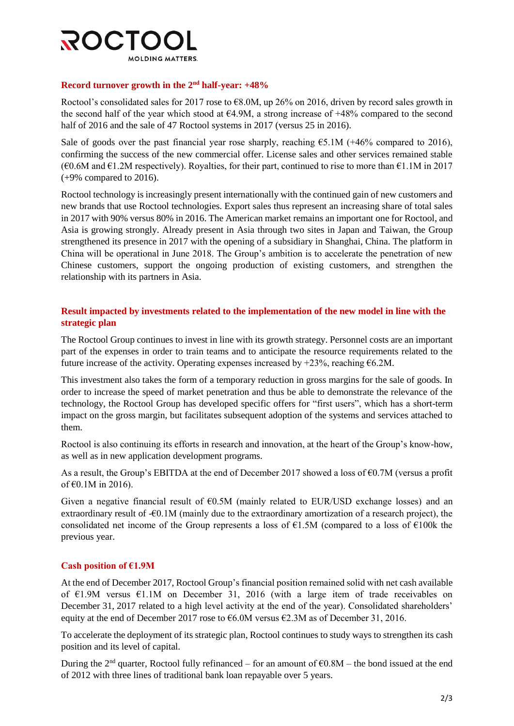

### **Record turnover growth in the 2nd half-year: +48%**

Roctool's consolidated sales for 2017 rose to  $68.0M$ , up 26% on 2016, driven by record sales growth in the second half of the year which stood at  $64.9M$ , a strong increase of  $+48%$  compared to the second half of 2016 and the sale of 47 Roctool systems in 2017 (versus 25 in 2016).

Sale of goods over the past financial year rose sharply, reaching  $\epsilon$ 5.1M (+46% compared to 2016), confirming the success of the new commercial offer. License sales and other services remained stable  $(€0.6M$  and €1.2M respectively). Royalties, for their part, continued to rise to more than €1.1M in 2017 (+9% compared to 2016).

Roctool technology is increasingly present internationally with the continued gain of new customers and new brands that use Roctool technologies. Export sales thus represent an increasing share of total sales in 2017 with 90% versus 80% in 2016. The American market remains an important one for Roctool, and Asia is growing strongly. Already present in Asia through two sites in Japan and Taiwan, the Group strengthened its presence in 2017 with the opening of a subsidiary in Shanghai, China. The platform in China will be operational in June 2018. The Group's ambition is to accelerate the penetration of new Chinese customers, support the ongoing production of existing customers, and strengthen the relationship with its partners in Asia.

# **Result impacted by investments related to the implementation of the new model in line with the strategic plan**

The Roctool Group continues to invest in line with its growth strategy. Personnel costs are an important part of the expenses in order to train teams and to anticipate the resource requirements related to the future increase of the activity. Operating expenses increased by  $+23%$ , reaching  $\epsilon$ 6.2M.

This investment also takes the form of a temporary reduction in gross margins for the sale of goods. In order to increase the speed of market penetration and thus be able to demonstrate the relevance of the technology, the Roctool Group has developed specific offers for "first users", which has a short-term impact on the gross margin, but facilitates subsequent adoption of the systems and services attached to them.

Roctool is also continuing its efforts in research and innovation, at the heart of the Group's know-how, as well as in new application development programs.

As a result, the Group's EBITDA at the end of December 2017 showed a loss of €0.7M (versus a profit of €0.1M in 2016).

Given a negative financial result of  $\epsilon$ 0.5M (mainly related to EUR/USD exchange losses) and an extraordinary result of -€0.1M (mainly due to the extraordinary amortization of a research project), the consolidated net income of the Group represents a loss of  $E1.5M$  (compared to a loss of  $E100k$  the previous year.

# **Cash position of €1.9M**

At the end of December 2017, Roctool Group's financial position remained solid with net cash available of €1.9M versus €1.1M on December 31, 2016 (with a large item of trade receivables on December 31, 2017 related to a high level activity at the end of the year). Consolidated shareholders' equity at the end of December 2017 rose to  $66.0M$  versus  $62.3M$  as of December 31, 2016.

To accelerate the deployment of its strategic plan, Roctool continues to study ways to strengthen its cash position and its level of capital.

During the 2<sup>nd</sup> quarter, Roctool fully refinanced – for an amount of  $\epsilon$ 0.8M – the bond issued at the end of 2012 with three lines of traditional bank loan repayable over 5 years.